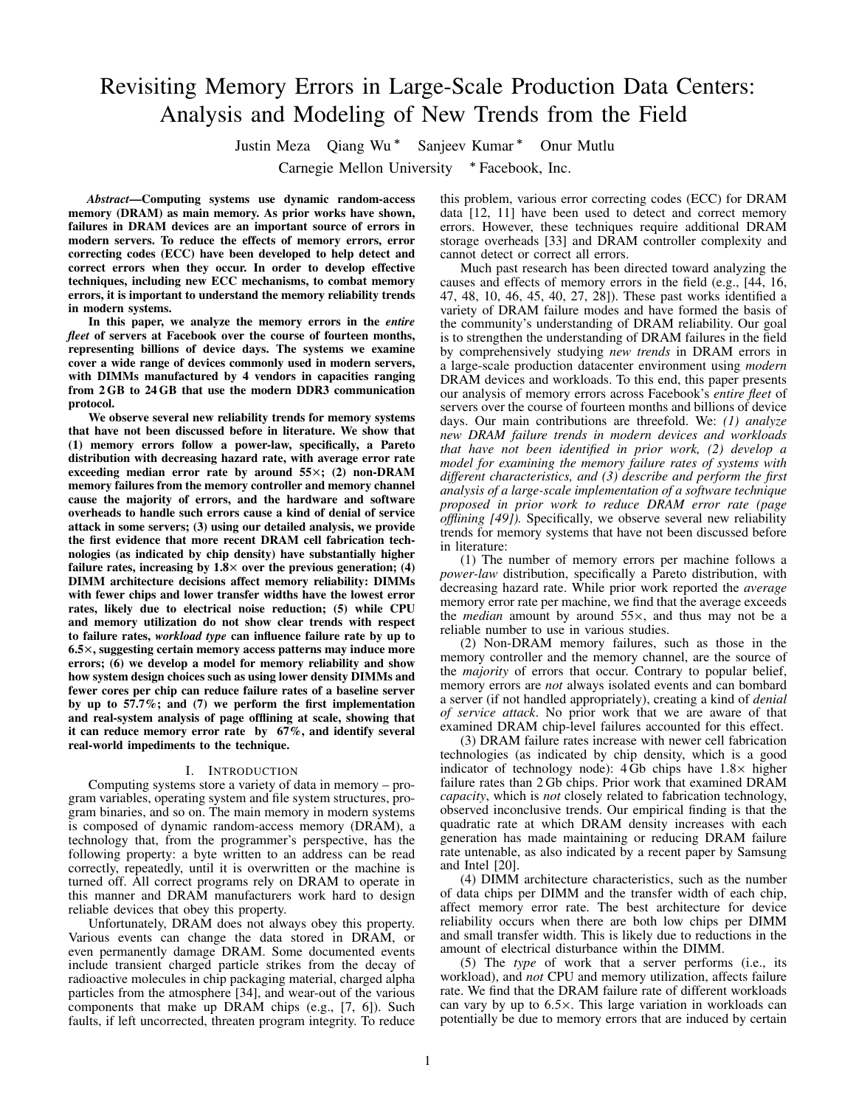# Revisiting Memory Errors in Large-Scale Production Data Centers: Analysis and Modeling of New Trends from the Field

Justin Meza Qiang Wu \* Sanjeev Kumar \* Onur Mutlu

Carnegie Mellon University \* Facebook, Inc.

*Abstract*—Computing systems use dynamic random-access memory (DRAM) as main memory. As prior works have shown, failures in DRAM devices are an important source of errors in modern servers. To reduce the effects of memory errors, error correcting codes (ECC) have been developed to help detect and correct errors when they occur. In order to develop effective techniques, including new ECC mechanisms, to combat memory errors, it is important to understand the memory reliability trends in modern systems.

In this paper, we analyze the memory errors in the *entire fleet* of servers at Facebook over the course of fourteen months, representing billions of device days. The systems we examine cover a wide range of devices commonly used in modern servers, with DIMMs manufactured by 4 vendors in capacities ranging from 2 GB to 24 GB that use the modern DDR3 communication protocol.

We observe several new reliability trends for memory systems that have not been discussed before in literature. We show that (1) memory errors follow a power-law, specifically, a Pareto distribution with decreasing hazard rate, with average error rate exceeding median error rate by around  $55\times$ ; (2) non-DRAM memory failures from the memory controller and memory channel cause the majority of errors, and the hardware and software overheads to handle such errors cause a kind of denial of service attack in some servers; (3) using our detailed analysis, we provide the first evidence that more recent DRAM cell fabrication technologies (as indicated by chip density) have substantially higher failure rates, increasing by  $1.8 \times$  over the previous generation; (4) DIMM architecture decisions affect memory reliability: DIMMs with fewer chips and lower transfer widths have the lowest error rates, likely due to electrical noise reduction; (5) while CPU and memory utilization do not show clear trends with respect to failure rates, *workload type* can influence failure rate by up to 6.5×, suggesting certain memory access patterns may induce more errors; (6) we develop a model for memory reliability and show how system design choices such as using lower density DIMMs and fewer cores per chip can reduce failure rates of a baseline server by up to 57.7%; and (7) we perform the first implementation and real-system analysis of page offlining at scale, showing that it can reduce memory error rate by 67%, and identify several real-world impediments to the technique.

#### I. INTRODUCTION

Computing systems store a variety of data in memory – program variables, operating system and file system structures, program binaries, and so on. The main memory in modern systems is composed of dynamic random-access memory (DRAM), a technology that, from the programmer's perspective, has the following property: a byte written to an address can be read correctly, repeatedly, until it is overwritten or the machine is turned off. All correct programs rely on DRAM to operate in this manner and DRAM manufacturers work hard to design reliable devices that obey this property.

Unfortunately, DRAM does not always obey this property. Various events can change the data stored in DRAM, or even permanently damage DRAM. Some documented events include transient charged particle strikes from the decay of radioactive molecules in chip packaging material, charged alpha particles from the atmosphere [34], and wear-out of the various components that make up DRAM chips (e.g., [7, 6]). Such faults, if left uncorrected, threaten program integrity. To reduce this problem, various error correcting codes (ECC) for DRAM data [12, 11] have been used to detect and correct memory errors. However, these techniques require additional DRAM storage overheads [33] and DRAM controller complexity and cannot detect or correct all errors.

Much past research has been directed toward analyzing the causes and effects of memory errors in the field (e.g., [44, 16, 47, 48, 10, 46, 45, 40, 27, 28]). These past works identified a variety of DRAM failure modes and have formed the basis of the community's understanding of DRAM reliability. Our goal is to strengthen the understanding of DRAM failures in the field by comprehensively studying *new trends* in DRAM errors in a large-scale production datacenter environment using *modern* DRAM devices and workloads. To this end, this paper presents our analysis of memory errors across Facebook's *entire fleet* of servers over the course of fourteen months and billions of device days. Our main contributions are threefold. We: *(1) analyze new DRAM failure trends in modern devices and workloads that have not been identified in prior work, (2) develop a model for examining the memory failure rates of systems with different characteristics, and (3) describe and perform the first analysis of a large-scale implementation of a software technique proposed in prior work to reduce DRAM error rate (page offlining [49]).* Specifically, we observe several new reliability trends for memory systems that have not been discussed before in literature:

(1) The number of memory errors per machine follows a *power-law* distribution, specifically a Pareto distribution, with decreasing hazard rate. While prior work reported the *average* memory error rate per machine, we find that the average exceeds the *median* amount by around  $55x$ , and thus may not be a reliable number to use in various studies.

(2) Non-DRAM memory failures, such as those in the memory controller and the memory channel, are the source of the *majority* of errors that occur. Contrary to popular belief, memory errors are *not* always isolated events and can bombard a server (if not handled appropriately), creating a kind of *denial of service attack*. No prior work that we are aware of that examined DRAM chip-level failures accounted for this effect.

(3) DRAM failure rates increase with newer cell fabrication technologies (as indicated by chip density, which is a good indicator of technology node):  $4 \text{Gb}$  chips have  $1.8 \times$  higher failure rates than 2 Gb chips. Prior work that examined DRAM *capacity*, which is *not* closely related to fabrication technology, observed inconclusive trends. Our empirical finding is that the quadratic rate at which DRAM density increases with each generation has made maintaining or reducing DRAM failure rate untenable, as also indicated by a recent paper by Samsung and Intel [20].

(4) DIMM architecture characteristics, such as the number of data chips per DIMM and the transfer width of each chip, affect memory error rate. The best architecture for device reliability occurs when there are both low chips per DIMM and small transfer width. This is likely due to reductions in the amount of electrical disturbance within the DIMM.

(5) The *type* of work that a server performs (i.e., its workload), and *not* CPU and memory utilization, affects failure rate. We find that the DRAM failure rate of different workloads can vary by up to 6.5×. This large variation in workloads can potentially be due to memory errors that are induced by certain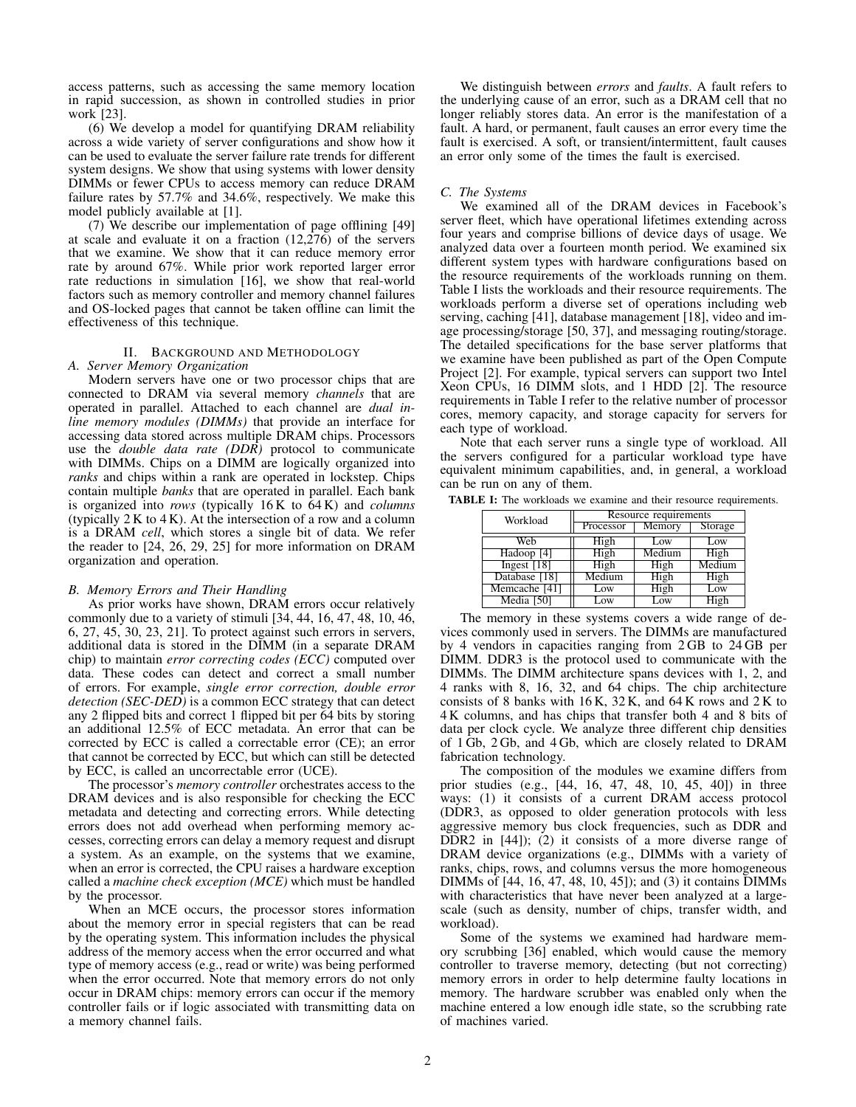access patterns, such as accessing the same memory location in rapid succession, as shown in controlled studies in prior work [23].

(6) We develop a model for quantifying DRAM reliability across a wide variety of server configurations and show how it can be used to evaluate the server failure rate trends for different system designs. We show that using systems with lower density DIMMs or fewer CPUs to access memory can reduce DRAM failure rates by 57.7% and 34.6%, respectively. We make this model publicly available at [1].

(7) We describe our implementation of page offlining [49] at scale and evaluate it on a fraction (12,276) of the servers that we examine. We show that it can reduce memory error rate by around 67%. While prior work reported larger error rate reductions in simulation [16], we show that real-world factors such as memory controller and memory channel failures and OS-locked pages that cannot be taken offline can limit the effectiveness of this technique.

# II. BACKGROUND AND METHODOLOGY

## *A. Server Memory Organization*

Modern servers have one or two processor chips that are connected to DRAM via several memory *channels* that are operated in parallel. Attached to each channel are *dual inline memory modules (DIMMs)* that provide an interface for accessing data stored across multiple DRAM chips. Processors use the *double data rate (DDR)* protocol to communicate with DIMMs. Chips on a DIMM are logically organized into *ranks* and chips within a rank are operated in lockstep. Chips contain multiple *banks* that are operated in parallel. Each bank is organized into *rows* (typically 16 K to 64 K) and *columns* (typically 2 K to 4 K). At the intersection of a row and a column is a DRAM *cell*, which stores a single bit of data. We refer the reader to [24, 26, 29, 25] for more information on DRAM organization and operation.

## *B. Memory Errors and Their Handling*

As prior works have shown, DRAM errors occur relatively commonly due to a variety of stimuli [34, 44, 16, 47, 48, 10, 46, 6, 27, 45, 30, 23, 21]. To protect against such errors in servers, additional data is stored in the DIMM (in a separate DRAM chip) to maintain *error correcting codes (ECC)* computed over data. These codes can detect and correct a small number of errors. For example, *single error correction, double error detection (SEC-DED)* is a common ECC strategy that can detect any 2 flipped bits and correct 1 flipped bit per 64 bits by storing an additional 12.5% of ECC metadata. An error that can be corrected by ECC is called a correctable error (CE); an error that cannot be corrected by ECC, but which can still be detected by ECC, is called an uncorrectable error (UCE).

The processor's *memory controller* orchestrates access to the DRAM devices and is also responsible for checking the ECC metadata and detecting and correcting errors. While detecting errors does not add overhead when performing memory accesses, correcting errors can delay a memory request and disrupt a system. As an example, on the systems that we examine, when an error is corrected, the CPU raises a hardware exception called a *machine check exception (MCE)* which must be handled by the processor.

When an MCE occurs, the processor stores information about the memory error in special registers that can be read by the operating system. This information includes the physical address of the memory access when the error occurred and what type of memory access (e.g., read or write) was being performed when the error occurred. Note that memory errors do not only occur in DRAM chips: memory errors can occur if the memory controller fails or if logic associated with transmitting data on a memory channel fails.

We distinguish between *errors* and *faults*. A fault refers to the underlying cause of an error, such as a DRAM cell that no longer reliably stores data. An error is the manifestation of a fault. A hard, or permanent, fault causes an error every time the fault is exercised. A soft, or transient/intermittent, fault causes an error only some of the times the fault is exercised.

# *C. The Systems*

We examined all of the DRAM devices in Facebook's server fleet, which have operational lifetimes extending across four years and comprise billions of device days of usage. We analyzed data over a fourteen month period. We examined six different system types with hardware configurations based on the resource requirements of the workloads running on them. Table I lists the workloads and their resource requirements. The workloads perform a diverse set of operations including web serving, caching [41], database management [18], video and image processing/storage [50, 37], and messaging routing/storage. The detailed specifications for the base server platforms that we examine have been published as part of the Open Compute Project [2]. For example, typical servers can support two Intel Xeon CPUs, 16 DIMM slots, and 1 HDD [2]. The resource requirements in Table I refer to the relative number of processor cores, memory capacity, and storage capacity for servers for each type of workload.

Note that each server runs a single type of workload. All the servers configured for a particular workload type have equivalent minimum capabilities, and, in general, a workload can be run on any of them.

TABLE I: The workloads we examine and their resource requirements.

| Workload      | Resource requirements |        |         |  |
|---------------|-----------------------|--------|---------|--|
|               | Processor             | Memory | Storage |  |
| Web           | High                  | Low    | Low     |  |
| Hadoop [4]    | High                  | Medium | High    |  |
| Ingest $[18]$ | High                  | High   | Medium  |  |
| Database [18] | Medium                | High   | High    |  |
| Memcache [41] | Low                   | High   | Low     |  |
| Media [50]    | Low                   | Low    | High    |  |

The memory in these systems covers a wide range of devices commonly used in servers. The DIMMs are manufactured by 4 vendors in capacities ranging from 2 GB to 24 GB per DIMM. DDR3 is the protocol used to communicate with the DIMMs. The DIMM architecture spans devices with 1, 2, and 4 ranks with 8, 16, 32, and 64 chips. The chip architecture consists of 8 banks with  $16K$ ,  $32K$ , and  $64K$  rows and  $2K$  to 4 K columns, and has chips that transfer both 4 and 8 bits of data per clock cycle. We analyze three different chip densities of 1 Gb, 2 Gb, and 4 Gb, which are closely related to DRAM fabrication technology.

The composition of the modules we examine differs from prior studies (e.g., [44, 16, 47, 48, 10, 45, 40]) in three ways: (1) it consists of a current DRAM access protocol (DDR3, as opposed to older generation protocols with less aggressive memory bus clock frequencies, such as DDR and DDR2 in [44]); (2) it consists of a more diverse range of DRAM device organizations (e.g., DIMMs with a variety of ranks, chips, rows, and columns versus the more homogeneous DIMMs of [44, 16, 47, 48, 10, 45]); and (3) it contains DIMMs with characteristics that have never been analyzed at a largescale (such as density, number of chips, transfer width, and workload).

Some of the systems we examined had hardware memory scrubbing [36] enabled, which would cause the memory controller to traverse memory, detecting (but not correcting) memory errors in order to help determine faulty locations in memory. The hardware scrubber was enabled only when the machine entered a low enough idle state, so the scrubbing rate of machines varied.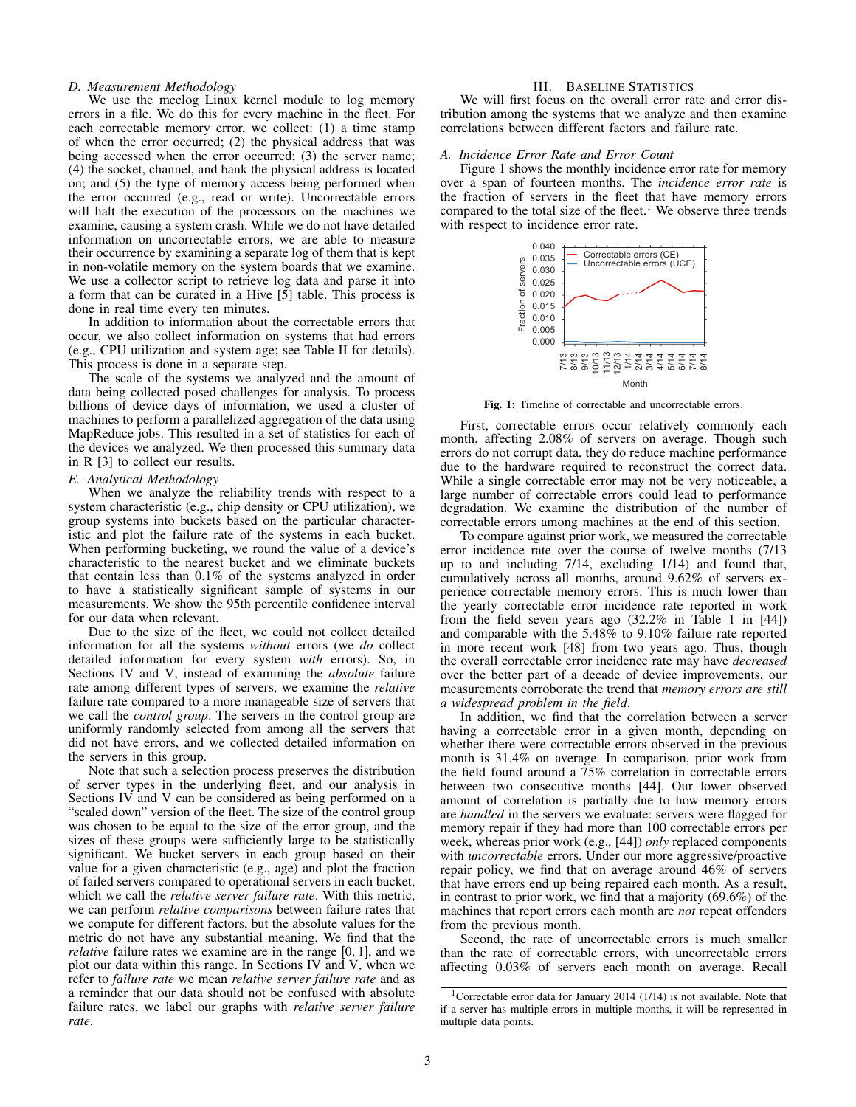#### *D. Measurement Methodology*

We use the mcelog Linux kernel module to log memory errors in a file. We do this for every machine in the fleet. For each correctable memory error, we collect: (1) a time stamp of when the error occurred; (2) the physical address that was being accessed when the error occurred; (3) the server name; (4) the socket, channel, and bank the physical address is located on; and (5) the type of memory access being performed when the error occurred (e.g., read or write). Uncorrectable errors will halt the execution of the processors on the machines we examine, causing a system crash. While we do not have detailed information on uncorrectable errors, we are able to measure their occurrence by examining a separate log of them that is kept in non-volatile memory on the system boards that we examine. We use a collector script to retrieve log data and parse it into a form that can be curated in a Hive [5] table. This process is done in real time every ten minutes.

In addition to information about the correctable errors that occur, we also collect information on systems that had errors (e.g., CPU utilization and system age; see Table II for details). This process is done in a separate step.

The scale of the systems we analyzed and the amount of data being collected posed challenges for analysis. To process billions of device days of information, we used a cluster of machines to perform a parallelized aggregation of the data using MapReduce jobs. This resulted in a set of statistics for each of the devices we analyzed. We then processed this summary data in R [3] to collect our results.

#### *E. Analytical Methodology*

When we analyze the reliability trends with respect to a system characteristic (e.g., chip density or CPU utilization), we group systems into buckets based on the particular characteristic and plot the failure rate of the systems in each bucket. When performing bucketing, we round the value of a device's characteristic to the nearest bucket and we eliminate buckets that contain less than 0.1% of the systems analyzed in order to have a statistically significant sample of systems in our measurements. We show the 95th percentile confidence interval for our data when relevant.

Due to the size of the fleet, we could not collect detailed information for all the systems *without* errors (we *do* collect detailed information for every system *with* errors). So, in Sections IV and V, instead of examining the *absolute* failure rate among different types of servers, we examine the *relative* failure rate compared to a more manageable size of servers that we call the *control group*. The servers in the control group are uniformly randomly selected from among all the servers that did not have errors, and we collected detailed information on the servers in this group.

Note that such a selection process preserves the distribution of server types in the underlying fleet, and our analysis in Sections IV and V can be considered as being performed on a "scaled down" version of the fleet. The size of the control group was chosen to be equal to the size of the error group, and the sizes of these groups were sufficiently large to be statistically significant. We bucket servers in each group based on their value for a given characteristic (e.g., age) and plot the fraction of failed servers compared to operational servers in each bucket, which we call the *relative server failure rate*. With this metric, we can perform *relative comparisons* between failure rates that we compute for different factors, but the absolute values for the metric do not have any substantial meaning. We find that the *relative* failure rates we examine are in the range  $[0, 1]$ , and we plot our data within this range. In Sections IV and V, when we refer to *failure rate* we mean *relative server failure rate* and as a reminder that our data should not be confused with absolute failure rates, we label our graphs with *relative server failure rate*.

## III. BASELINE STATISTICS

We will first focus on the overall error rate and error distribution among the systems that we analyze and then examine correlations between different factors and failure rate.

#### *A. Incidence Error Rate and Error Count*

Figure 1 shows the monthly incidence error rate for memory over a span of fourteen months. The *incidence error rate* is the fraction of servers in the fleet that have memory errors compared to the total size of the fleet.<sup>1</sup> We observe three trends with respect to incidence error rate.



Fig. 1: Timeline of correctable and uncorrectable errors.

First, correctable errors occur relatively commonly each month, affecting 2.08% of servers on average. Though such errors do not corrupt data, they do reduce machine performance due to the hardware required to reconstruct the correct data. While a single correctable error may not be very noticeable, a large number of correctable errors could lead to performance degradation. We examine the distribution of the number of correctable errors among machines at the end of this section.

To compare against prior work, we measured the correctable error incidence rate over the course of twelve months (7/13 up to and including 7/14, excluding 1/14) and found that, cumulatively across all months, around 9.62% of servers experience correctable memory errors. This is much lower than the yearly correctable error incidence rate reported in work from the field seven years ago (32.2% in Table 1 in [44]) and comparable with the 5.48% to 9.10% failure rate reported in more recent work [48] from two years ago. Thus, though the overall correctable error incidence rate may have *decreased* over the better part of a decade of device improvements, our measurements corroborate the trend that *memory errors are still a widespread problem in the field*.

In addition, we find that the correlation between a server having a correctable error in a given month, depending on whether there were correctable errors observed in the previous month is 31.4% on average. In comparison, prior work from the field found around a 75% correlation in correctable errors between two consecutive months [44]. Our lower observed amount of correlation is partially due to how memory errors are *handled* in the servers we evaluate: servers were flagged for memory repair if they had more than 100 correctable errors per week, whereas prior work (e.g., [44]) *only* replaced components with *uncorrectable* errors. Under our more aggressive/proactive repair policy, we find that on average around 46% of servers that have errors end up being repaired each month. As a result, in contrast to prior work, we find that a majority (69.6%) of the machines that report errors each month are *not* repeat offenders from the previous month.

Second, the rate of uncorrectable errors is much smaller than the rate of correctable errors, with uncorrectable errors affecting 0.03% of servers each month on average. Recall

<sup>&</sup>lt;sup>1</sup>Correctable error data for January 2014 (1/14) is not available. Note that if a server has multiple errors in multiple months, it will be represented in multiple data points.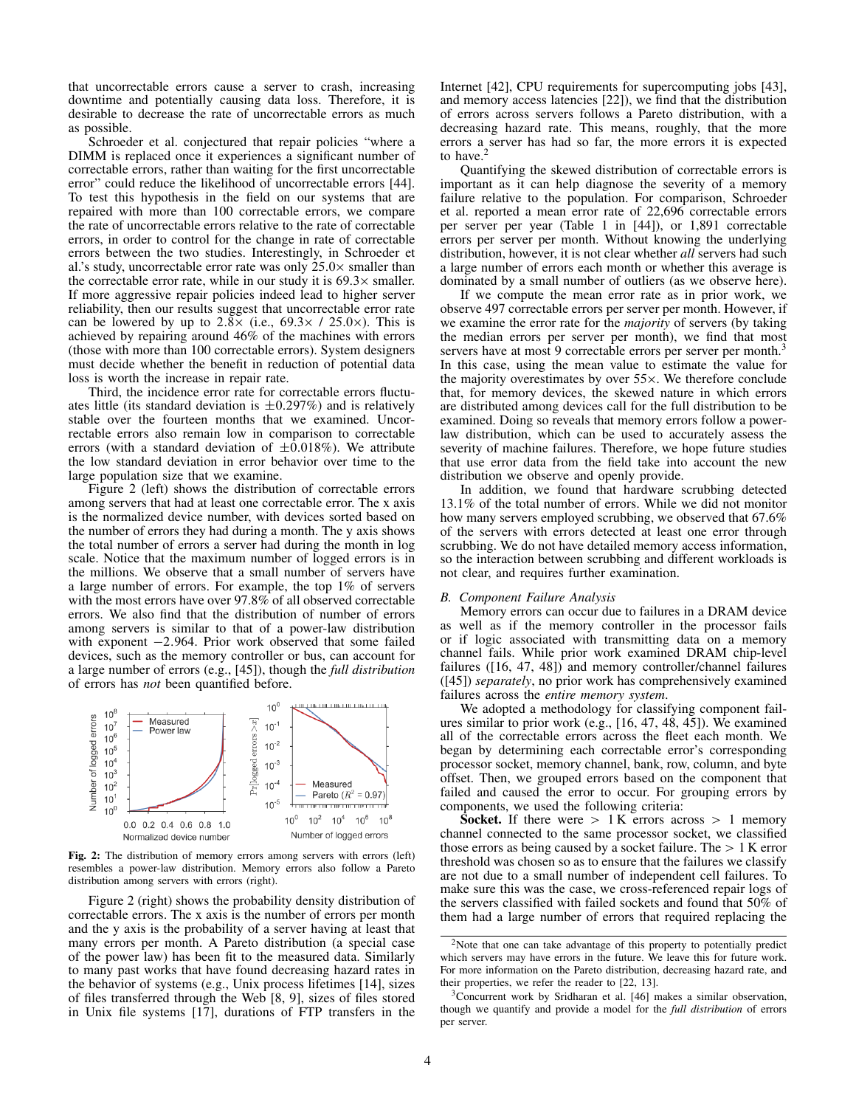that uncorrectable errors cause a server to crash, increasing downtime and potentially causing data loss. Therefore, it is desirable to decrease the rate of uncorrectable errors as much as possible.

Schroeder et al. conjectured that repair policies "where a DIMM is replaced once it experiences a significant number of correctable errors, rather than waiting for the first uncorrectable error" could reduce the likelihood of uncorrectable errors [44]. To test this hypothesis in the field on our systems that are repaired with more than 100 correctable errors, we compare the rate of uncorrectable errors relative to the rate of correctable errors, in order to control for the change in rate of correctable errors between the two studies. Interestingly, in Schroeder et al.'s study, uncorrectable error rate was only  $25.0\times$  smaller than the correctable error rate, while in our study it is  $69.3 \times$  smaller. If more aggressive repair policies indeed lead to higher server reliability, then our results suggest that uncorrectable error rate can be lowered by up to  $2.8 \times$  (i.e.,  $69.3 \times / 25.0 \times$ ). This is achieved by repairing around 46% of the machines with errors (those with more than 100 correctable errors). System designers must decide whether the benefit in reduction of potential data loss is worth the increase in repair rate.

Third, the incidence error rate for correctable errors fluctuates little (its standard deviation is  $\pm 0.297\%$ ) and is relatively stable over the fourteen months that we examined. Uncorrectable errors also remain low in comparison to correctable errors (with a standard deviation of  $\pm 0.018\%$ ). We attribute the low standard deviation in error behavior over time to the large population size that we examine.

Figure 2 (left) shows the distribution of correctable errors among servers that had at least one correctable error. The x axis is the normalized device number, with devices sorted based on the number of errors they had during a month. The y axis shows the total number of errors a server had during the month in log scale. Notice that the maximum number of logged errors is in the millions. We observe that a small number of servers have a large number of errors. For example, the top 1% of servers with the most errors have over 97.8% of all observed correctable errors. We also find that the distribution of number of errors among servers is similar to that of a power-law distribution with exponent  $-2.964$ . Prior work observed that some failed devices, such as the memory controller or bus, can account for a large number of errors (e.g., [45]), though the *full distribution* of errors has *not* been quantified before.



Fig. 2: The distribution of memory errors among servers with errors (left) resembles a power-law distribution. Memory errors also follow a Pareto distribution among servers with errors (right).

Figure 2 (right) shows the probability density distribution of correctable errors. The x axis is the number of errors per month and the y axis is the probability of a server having at least that many errors per month. A Pareto distribution (a special case of the power law) has been fit to the measured data. Similarly to many past works that have found decreasing hazard rates in the behavior of systems (e.g., Unix process lifetimes [14], sizes of files transferred through the Web [8, 9], sizes of files stored in Unix file systems [17], durations of FTP transfers in the

Internet [42], CPU requirements for supercomputing jobs [43], and memory access latencies [22]), we find that the distribution of errors across servers follows a Pareto distribution, with a decreasing hazard rate. This means, roughly, that the more errors a server has had so far, the more errors it is expected to have.<sup>2</sup>

Quantifying the skewed distribution of correctable errors is important as it can help diagnose the severity of a memory failure relative to the population. For comparison, Schroeder et al. reported a mean error rate of 22,696 correctable errors per server per year (Table 1 in [44]), or 1,891 correctable errors per server per month. Without knowing the underlying distribution, however, it is not clear whether *all* servers had such a large number of errors each month or whether this average is dominated by a small number of outliers (as we observe here).

If we compute the mean error rate as in prior work, we observe 497 correctable errors per server per month. However, if we examine the error rate for the *majority* of servers (by taking the median errors per server per month), we find that most servers have at most 9 correctable errors per server per month.<sup>3</sup> In this case, using the mean value to estimate the value for the majority overestimates by over 55x. We therefore conclude that, for memory devices, the skewed nature in which errors are distributed among devices call for the full distribution to be examined. Doing so reveals that memory errors follow a powerlaw distribution, which can be used to accurately assess the severity of machine failures. Therefore, we hope future studies that use error data from the field take into account the new distribution we observe and openly provide.

In addition, we found that hardware scrubbing detected 13.1% of the total number of errors. While we did not monitor how many servers employed scrubbing, we observed that 67.6% of the servers with errors detected at least one error through scrubbing. We do not have detailed memory access information, so the interaction between scrubbing and different workloads is not clear, and requires further examination.

#### *B. Component Failure Analysis*

Memory errors can occur due to failures in a DRAM device as well as if the memory controller in the processor fails or if logic associated with transmitting data on a memory channel fails. While prior work examined DRAM chip-level failures ([16, 47, 48]) and memory controller/channel failures ([45]) *separately*, no prior work has comprehensively examined failures across the *entire memory system*.

We adopted a methodology for classifying component failures similar to prior work (e.g., [16, 47, 48, 45]). We examined all of the correctable errors across the fleet each month. We began by determining each correctable error's corresponding processor socket, memory channel, bank, row, column, and byte offset. Then, we grouped errors based on the component that failed and caused the error to occur. For grouping errors by components, we used the following criteria:

**Socket.** If there were  $> 1$  K errors across  $> 1$  memory channel connected to the same processor socket, we classified those errors as being caused by a socket failure. The  $> 1$  K error threshold was chosen so as to ensure that the failures we classify are not due to a small number of independent cell failures. To make sure this was the case, we cross-referenced repair logs of the servers classified with failed sockets and found that 50% of them had a large number of errors that required replacing the

<sup>&</sup>lt;sup>2</sup>Note that one can take advantage of this property to potentially predict which servers may have errors in the future. We leave this for future work. For more information on the Pareto distribution, decreasing hazard rate, and their properties, we refer the reader to [22, 13].

<sup>&</sup>lt;sup>3</sup>Concurrent work by Sridharan et al. [46] makes a similar observation, though we quantify and provide a model for the *full distribution* of errors per server.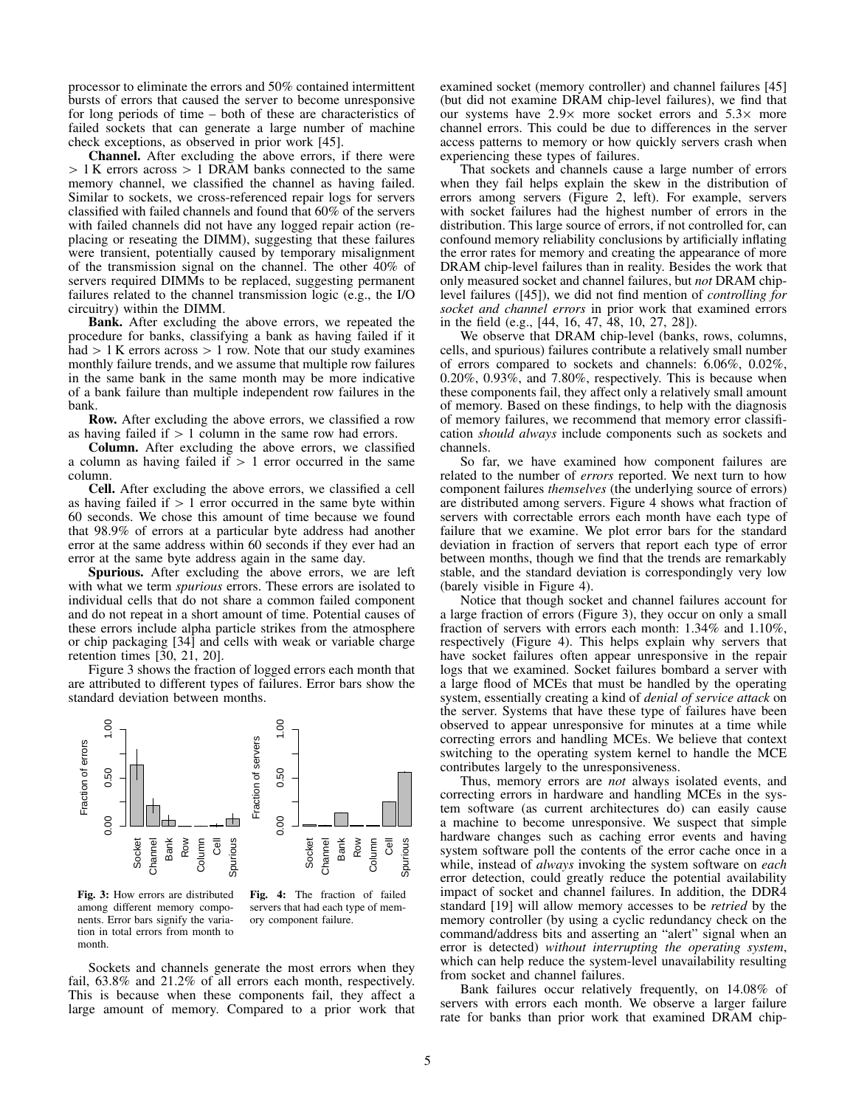processor to eliminate the errors and 50% contained intermittent bursts of errors that caused the server to become unresponsive for long periods of time – both of these are characteristics of failed sockets that can generate a large number of machine check exceptions, as observed in prior work [45].

Channel. After excluding the above errors, if there were  $> 1$  K errors across  $> 1$  DRAM banks connected to the same memory channel, we classified the channel as having failed. Similar to sockets, we cross-referenced repair logs for servers classified with failed channels and found that 60% of the servers with failed channels did not have any logged repair action (replacing or reseating the DIMM), suggesting that these failures were transient, potentially caused by temporary misalignment of the transmission signal on the channel. The other 40% of servers required DIMMs to be replaced, suggesting permanent failures related to the channel transmission logic (e.g., the I/O circuitry) within the DIMM.

Bank. After excluding the above errors, we repeated the procedure for banks, classifying a bank as having failed if it had  $> 1$  K errors across  $> 1$  row. Note that our study examines monthly failure trends, and we assume that multiple row failures in the same bank in the same month may be more indicative of a bank failure than multiple independent row failures in the bank.

**Row.** After excluding the above errors, we classified a row as having failed if  $> 1$  column in the same row had errors.

Column. After excluding the above errors, we classified a column as having failed if  $> 1$  error occurred in the same column.

Cell. After excluding the above errors, we classified a cell as having failed if  $> 1$  error occurred in the same byte within 60 seconds. We chose this amount of time because we found that 98.9% of errors at a particular byte address had another error at the same address within 60 seconds if they ever had an error at the same byte address again in the same day.

Spurious. After excluding the above errors, we are left with what we term *spurious* errors. These errors are isolated to individual cells that do not share a common failed component and do not repeat in a short amount of time. Potential causes of these errors include alpha particle strikes from the atmosphere or chip packaging [34] and cells with weak or variable charge retention times [30, 21, 20].

Figure 3 shows the fraction of logged errors each month that are attributed to different types of failures. Error bars show the standard deviation between months.



Fig. 3: How errors are distributed among different memory components. Error bars signify the variation in total errors from month to

Fig. 4: The fraction of failed servers that had each type of memory component failure.

Sockets and channels generate the most errors when they fail, 63.8% and 21.2% of all errors each month, respectively. This is because when these components fail, they affect a large amount of memory. Compared to a prior work that examined socket (memory controller) and channel failures [45] (but did not examine DRAM chip-level failures), we find that our systems have  $2.9\times$  more socket errors and  $5.3\times$  more channel errors. This could be due to differences in the server access patterns to memory or how quickly servers crash when experiencing these types of failures.

That sockets and channels cause a large number of errors when they fail helps explain the skew in the distribution of errors among servers (Figure 2, left). For example, servers with socket failures had the highest number of errors in the distribution. This large source of errors, if not controlled for, can confound memory reliability conclusions by artificially inflating the error rates for memory and creating the appearance of more DRAM chip-level failures than in reality. Besides the work that only measured socket and channel failures, but *not* DRAM chiplevel failures ([45]), we did not find mention of *controlling for socket and channel errors* in prior work that examined errors in the field (e.g., [44, 16, 47, 48, 10, 27, 28]).

We observe that DRAM chip-level (banks, rows, columns, cells, and spurious) failures contribute a relatively small number of errors compared to sockets and channels: 6.06%, 0.02%, 0.20%, 0.93%, and 7.80%, respectively. This is because when these components fail, they affect only a relatively small amount of memory. Based on these findings, to help with the diagnosis of memory failures, we recommend that memory error classification *should always* include components such as sockets and channels.

So far, we have examined how component failures are related to the number of *errors* reported. We next turn to how component failures *themselves* (the underlying source of errors) are distributed among servers. Figure 4 shows what fraction of servers with correctable errors each month have each type of failure that we examine. We plot error bars for the standard deviation in fraction of servers that report each type of error between months, though we find that the trends are remarkably stable, and the standard deviation is correspondingly very low (barely visible in Figure 4).

Notice that though socket and channel failures account for a large fraction of errors (Figure 3), they occur on only a small fraction of servers with errors each month: 1.34% and 1.10%, respectively (Figure 4). This helps explain why servers that have socket failures often appear unresponsive in the repair logs that we examined. Socket failures bombard a server with a large flood of MCEs that must be handled by the operating system, essentially creating a kind of *denial of service attack* on the server. Systems that have these type of failures have been observed to appear unresponsive for minutes at a time while correcting errors and handling MCEs. We believe that context switching to the operating system kernel to handle the MCE contributes largely to the unresponsiveness.

Thus, memory errors are *not* always isolated events, and correcting errors in hardware and handling MCEs in the system software (as current architectures do) can easily cause a machine to become unresponsive. We suspect that simple hardware changes such as caching error events and having system software poll the contents of the error cache once in a while, instead of *always* invoking the system software on *each* error detection, could greatly reduce the potential availability impact of socket and channel failures. In addition, the DDR4 standard [19] will allow memory accesses to be *retried* by the memory controller (by using a cyclic redundancy check on the command/address bits and asserting an "alert" signal when an error is detected) *without interrupting the operating system*, which can help reduce the system-level unavailability resulting from socket and channel failures.

Bank failures occur relatively frequently, on 14.08% of servers with errors each month. We observe a larger failure rate for banks than prior work that examined DRAM chip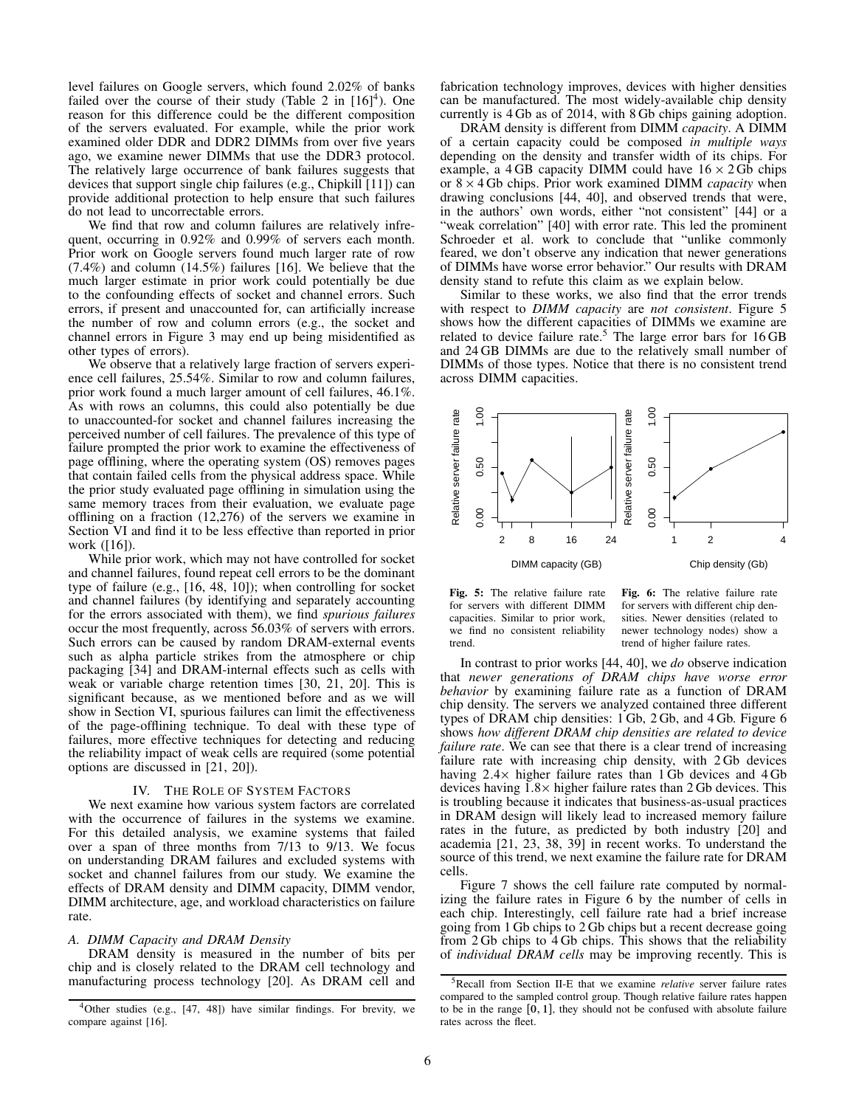level failures on Google servers, which found 2.02% of banks failed over the course of their study (Table 2 in  $[16]^4$ ). One reason for this difference could be the different composition of the servers evaluated. For example, while the prior work examined older DDR and DDR2 DIMMs from over five years ago, we examine newer DIMMs that use the DDR3 protocol. The relatively large occurrence of bank failures suggests that devices that support single chip failures (e.g., Chipkill [11]) can provide additional protection to help ensure that such failures do not lead to uncorrectable errors.

We find that row and column failures are relatively infrequent, occurring in 0.92% and 0.99% of servers each month. Prior work on Google servers found much larger rate of row  $(7.4\%)$  and column  $(14.5\%)$  failures [16]. We believe that the much larger estimate in prior work could potentially be due to the confounding effects of socket and channel errors. Such errors, if present and unaccounted for, can artificially increase the number of row and column errors (e.g., the socket and channel errors in Figure 3 may end up being misidentified as other types of errors).

We observe that a relatively large fraction of servers experience cell failures, 25.54%. Similar to row and column failures, prior work found a much larger amount of cell failures, 46.1%. As with rows an columns, this could also potentially be due to unaccounted-for socket and channel failures increasing the perceived number of cell failures. The prevalence of this type of failure prompted the prior work to examine the effectiveness of page offlining, where the operating system (OS) removes pages that contain failed cells from the physical address space. While the prior study evaluated page offlining in simulation using the same memory traces from their evaluation, we evaluate page offlining on a fraction (12,276) of the servers we examine in Section VI and find it to be less effective than reported in prior work ([16]).

While prior work, which may not have controlled for socket and channel failures, found repeat cell errors to be the dominant type of failure (e.g., [16, 48, 10]); when controlling for socket and channel failures (by identifying and separately accounting for the errors associated with them), we find *spurious failures* occur the most frequently, across 56.03% of servers with errors. Such errors can be caused by random DRAM-external events such as alpha particle strikes from the atmosphere or chip packaging [34] and DRAM-internal effects such as cells with weak or variable charge retention times [30, 21, 20]. This is significant because, as we mentioned before and as we will show in Section VI, spurious failures can limit the effectiveness of the page-offlining technique. To deal with these type of failures, more effective techniques for detecting and reducing the reliability impact of weak cells are required (some potential options are discussed in [21, 20]).

## IV. THE ROLE OF SYSTEM FACTORS

We next examine how various system factors are correlated with the occurrence of failures in the systems we examine. For this detailed analysis, we examine systems that failed over a span of three months from 7/13 to 9/13. We focus on understanding DRAM failures and excluded systems with socket and channel failures from our study. We examine the effects of DRAM density and DIMM capacity, DIMM vendor, DIMM architecture, age, and workload characteristics on failure rate.

#### *A. DIMM Capacity and DRAM Density*

DRAM density is measured in the number of bits per chip and is closely related to the DRAM cell technology and manufacturing process technology [20]. As DRAM cell and fabrication technology improves, devices with higher densities can be manufactured. The most widely-available chip density currently is 4 Gb as of 2014, with 8 Gb chips gaining adoption.

DRAM density is different from DIMM *capacity*. A DIMM of a certain capacity could be composed *in multiple ways* depending on the density and transfer width of its chips. For example, a 4 GB capacity DIMM could have  $16 \times 2$  Gb chips or  $8 \times 4$  Gb chips. Prior work examined DIMM *capacity* when drawing conclusions [44, 40], and observed trends that were, in the authors' own words, either "not consistent" [44] or a "weak correlation" [40] with error rate. This led the prominent Schroeder et al. work to conclude that "unlike commonly feared, we don't observe any indication that newer generations of DIMMs have worse error behavior." Our results with DRAM density stand to refute this claim as we explain below.

Similar to these works, we also find that the error trends with respect to *DIMM capacity* are *not consistent*. Figure 5 shows how the different capacities of DIMMs we examine are related to device failure rate.<sup>5</sup> The large error bars for 16 GB and 24 GB DIMMs are due to the relatively small number of DIMMs of those types. Notice that there is no consistent trend across DIMM capacities.



Fig. 5: The relative failure rate for servers with different DIMM capacities. Similar to prior work, we find no consistent reliability trend.

Fig. 6: The relative failure rate for servers with different chip densities. Newer densities (related to newer technology nodes) show a trend of higher failure rates.

In contrast to prior works [44, 40], we *do* observe indication that *newer generations of DRAM chips have worse error behavior* by examining failure rate as a function of DRAM chip density. The servers we analyzed contained three different types of DRAM chip densities: 1 Gb, 2 Gb, and 4 Gb. Figure 6 shows *how different DRAM chip densities are related to device failure rate*. We can see that there is a clear trend of increasing failure rate with increasing chip density, with 2 Gb devices having  $2.4\times$  higher failure rates than 1 Gb devices and 4 Gb devices having  $1.8\times$  higher failure rates than 2 Gb devices. This is troubling because it indicates that business-as-usual practices in DRAM design will likely lead to increased memory failure rates in the future, as predicted by both industry [20] and academia [21, 23, 38, 39] in recent works. To understand the source of this trend, we next examine the failure rate for DRAM cells.

Figure 7 shows the cell failure rate computed by normalizing the failure rates in Figure 6 by the number of cells in each chip. Interestingly, cell failure rate had a brief increase going from 1 Gb chips to 2 Gb chips but a recent decrease going from 2 Gb chips to 4 Gb chips. This shows that the reliability of *individual DRAM cells* may be improving recently. This is

<sup>4</sup>Other studies (e.g., [47, 48]) have similar findings. For brevity, we compare against [16].

<sup>5</sup>Recall from Section II-E that we examine *relative* server failure rates compared to the sampled control group. Though relative failure rates happen to be in the range  $[0, 1]$ , they should not be confused with absolute failure rates across the fleet.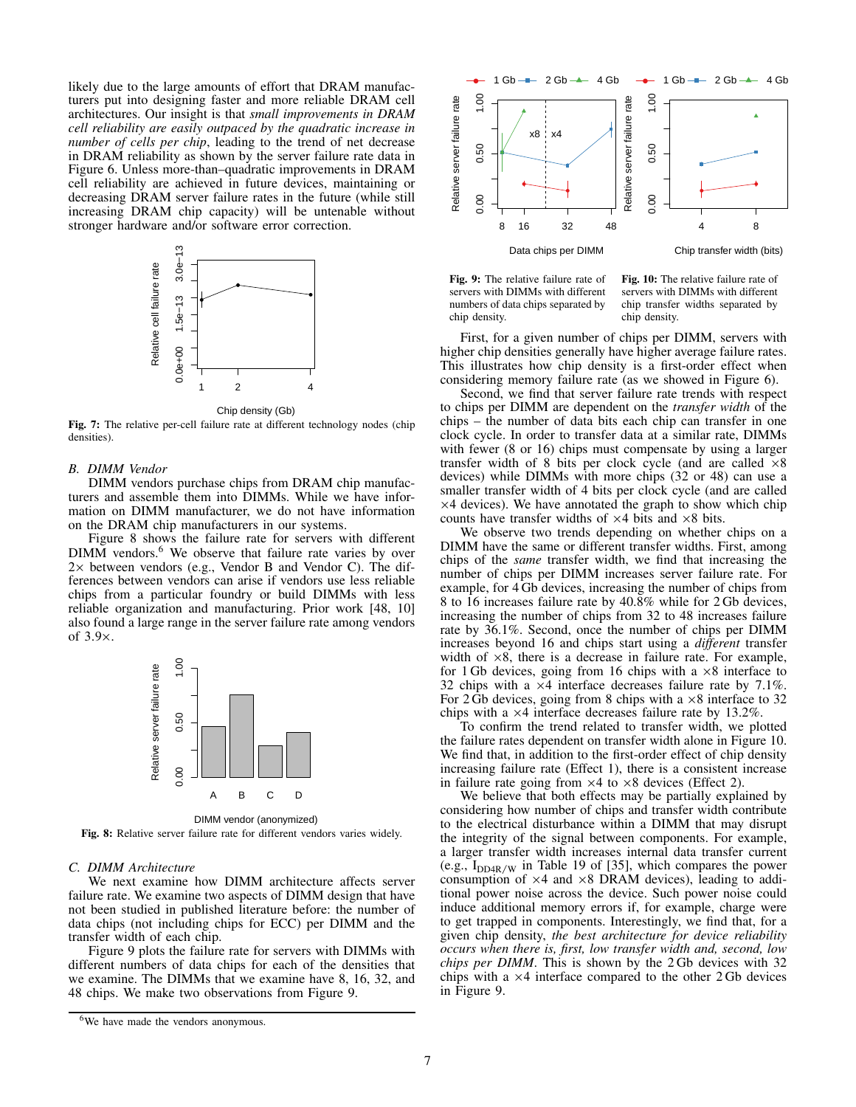likely due to the large amounts of effort that DRAM manufacturers put into designing faster and more reliable DRAM cell architectures. Our insight is that *small improvements in DRAM cell reliability are easily outpaced by the quadratic increase in number of cells per chip*, leading to the trend of net decrease in DRAM reliability as shown by the server failure rate data in Figure 6. Unless more-than–quadratic improvements in DRAM cell reliability are achieved in future devices, maintaining or decreasing DRAM server failure rates in the future (while still increasing DRAM chip capacity) will be untenable without stronger hardware and/or software error correction.



Chip density (Gb)

Fig. 7: The relative per-cell failure rate at different technology nodes (chip densities).

## *B. DIMM Vendor*

DIMM vendors purchase chips from DRAM chip manufacturers and assemble them into DIMMs. While we have information on DIMM manufacturer, we do not have information on the DRAM chip manufacturers in our systems.

Figure 8 shows the failure rate for servers with different DIMM vendors.<sup>6</sup> We observe that failure rate varies by over  $2\times$  between vendors (e.g., Vendor B and Vendor C). The differences between vendors can arise if vendors use less reliable chips from a particular foundry or build DIMMs with less reliable organization and manufacturing. Prior work [48, 10] also found a large range in the server failure rate among vendors of  $3.9\times$ .



DIMM vendor (anonymized)

Fig. 8: Relative server failure rate for different vendors varies widely.

## *C. DIMM Architecture*

We next examine how DIMM architecture affects server failure rate. We examine two aspects of DIMM design that have not been studied in published literature before: the number of data chips (not including chips for ECC) per DIMM and the transfer width of each chip.

Figure 9 plots the failure rate for servers with DIMMs with different numbers of data chips for each of the densities that we examine. The DIMMs that we examine have 8, 16, 32, and 48 chips. We make two observations from Figure 9.



Fig. 9: The relative failure rate of servers with DIMMs with different numbers of data chips separated by chip density.

Fig. 10: The relative failure rate of servers with DIMMs with different chip transfer widths separated by chip density.

First, for a given number of chips per DIMM, servers with higher chip densities generally have higher average failure rates. This illustrates how chip density is a first-order effect when considering memory failure rate (as we showed in Figure 6).

Second, we find that server failure rate trends with respect to chips per DIMM are dependent on the *transfer width* of the chips – the number of data bits each chip can transfer in one clock cycle. In order to transfer data at a similar rate, DIMMs with fewer (8 or 16) chips must compensate by using a larger transfer width of 8 bits per clock cycle (and are called  $\times$ 8 devices) while DIMMs with more chips (32 or 48) can use a smaller transfer width of 4 bits per clock cycle (and are called -4 devices). We have annotated the graph to show which chip counts have transfer widths of  $\times$ 4 bits and  $\times$ 8 bits.

We observe two trends depending on whether chips on a DIMM have the same or different transfer widths. First, among chips of the *same* transfer width, we find that increasing the number of chips per DIMM increases server failure rate. For example, for 4 Gb devices, increasing the number of chips from 8 to 16 increases failure rate by 40.8% while for 2 Gb devices, increasing the number of chips from 32 to 48 increases failure rate by 36.1%. Second, once the number of chips per DIMM increases beyond 16 and chips start using a *different* transfer width of  $\times 8$ , there is a decrease in failure rate. For example, for 1 Gb devices, going from 16 chips with a  $\times 8$  interface to 32 chips with a  $\times$ 4 interface decreases failure rate by 7.1%. For  $2 \overline{G}$ b devices, going from 8 chips with a  $\times 8$  interface to 32 chips with a  $\times$ 4 interface decreases failure rate by 13.2%.

To confirm the trend related to transfer width, we plotted the failure rates dependent on transfer width alone in Figure 10. We find that, in addition to the first-order effect of chip density increasing failure rate (Effect 1), there is a consistent increase in failure rate going from  $\times$ 4 to  $\times$ 8 devices (Effect 2).

We believe that both effects may be partially explained by considering how number of chips and transfer width contribute to the electrical disturbance within a DIMM that may disrupt the integrity of the signal between components. For example, a larger transfer width increases internal data transfer current (e.g.,  $I_{DD4R/W}$  in Table 19 of [35], which compares the power consumption of  $\times$ 4 and  $\times$ 8 DRAM devices), leading to additional power noise across the device. Such power noise could induce additional memory errors if, for example, charge were to get trapped in components. Interestingly, we find that, for a given chip density, *the best architecture for device reliability occurs when there is, first, low transfer width and, second, low chips per DIMM*. This is shown by the 2 Gb devices with 32 chips with a  $\times 4$  interface compared to the other 2 Gb devices in Figure 9.

<sup>&</sup>lt;sup>6</sup>We have made the vendors anonymous.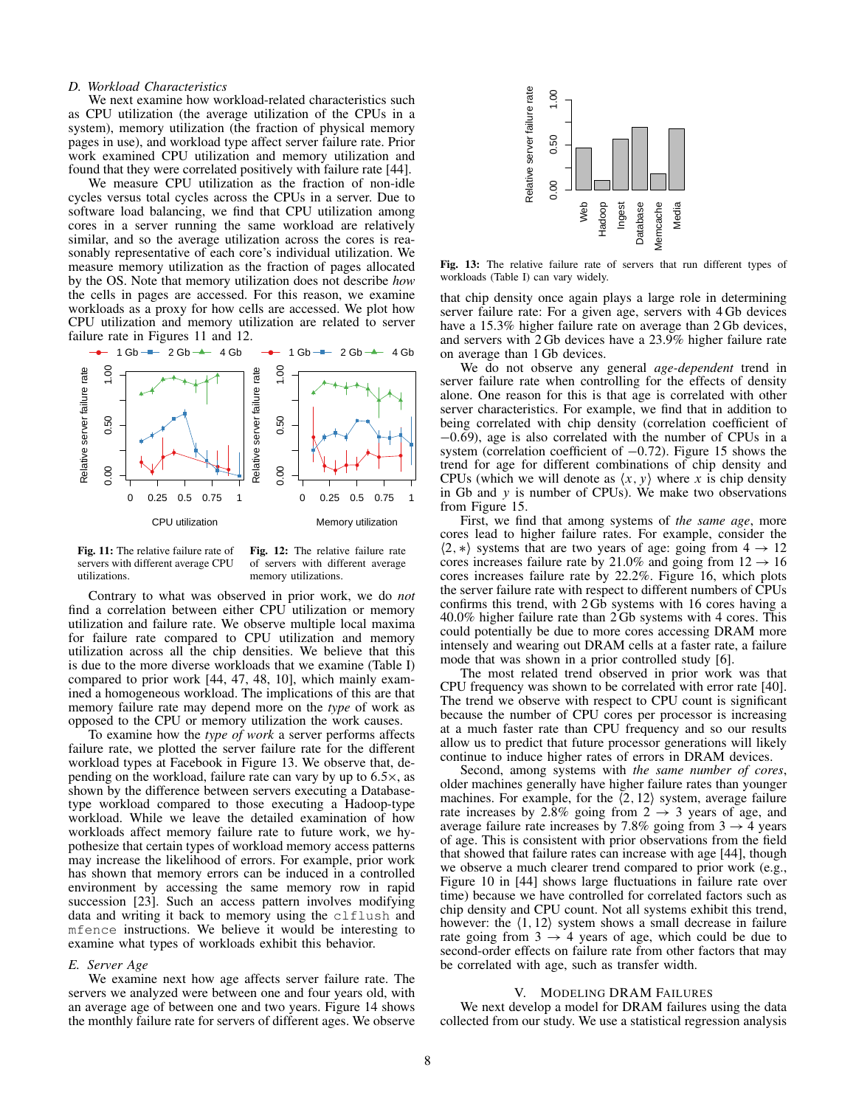#### *D. Workload Characteristics*

We next examine how workload-related characteristics such as CPU utilization (the average utilization of the CPUs in a system), memory utilization (the fraction of physical memory pages in use), and workload type affect server failure rate. Prior work examined CPU utilization and memory utilization and found that they were correlated positively with failure rate [44].

We measure CPU utilization as the fraction of non-idle cycles versus total cycles across the CPUs in a server. Due to software load balancing, we find that CPU utilization among cores in a server running the same workload are relatively similar, and so the average utilization across the cores is reasonably representative of each core's individual utilization. We measure memory utilization as the fraction of pages allocated by the OS. Note that memory utilization does not describe *how* the cells in pages are accessed. For this reason, we examine workloads as a proxy for how cells are accessed. We plot how CPU utilization and memory utilization are related to server failure rate in Figures 11 and 12.





Fig. 12: The relative failure rate of servers with different average memory utilizations.

Contrary to what was observed in prior work, we do *not* find a correlation between either CPU utilization or memory utilization and failure rate. We observe multiple local maxima for failure rate compared to CPU utilization and memory utilization across all the chip densities. We believe that this is due to the more diverse workloads that we examine (Table I) compared to prior work [44, 47, 48, 10], which mainly examined a homogeneous workload. The implications of this are that memory failure rate may depend more on the *type* of work as opposed to the CPU or memory utilization the work causes.

To examine how the *type of work* a server performs affects failure rate, we plotted the server failure rate for the different workload types at Facebook in Figure 13. We observe that, depending on the workload, failure rate can vary by up to  $6.5\times$ , as shown by the difference between servers executing a Databasetype workload compared to those executing a Hadoop-type workload. While we leave the detailed examination of how workloads affect memory failure rate to future work, we hypothesize that certain types of workload memory access patterns may increase the likelihood of errors. For example, prior work has shown that memory errors can be induced in a controlled environment by accessing the same memory row in rapid succession [23]. Such an access pattern involves modifying data and writing it back to memory using the clflush and mfence instructions. We believe it would be interesting to examine what types of workloads exhibit this behavior. Examele the monthly interest in the most contribute rate of the monthly interest of the monthly interest of the monthly interest of the monthly interest of the monthly interest of the monthly interest of the monthly inter

### *E. Server Age*

We examine next how age affects server failure rate. The servers we analyzed were between one and four years old, with an average age of between one and two years. Figure 14 shows



Fig. 13: The relative failure rate of servers that run different types of workloads (Table I) can vary widely.

that chip density once again plays a large role in determining server failure rate: For a given age, servers with 4 Gb devices have a 15.3% higher failure rate on average than 2 Gb devices, and servers with 2 Gb devices have a 23.9% higher failure rate on average than 1 Gb devices.

We do not observe any general *age-dependent* trend in server failure rate when controlling for the effects of density alone. One reason for this is that age is correlated with other server characteristics. For example, we find that in addition to being correlated with chip density (correlation coefficient of  $-0.69$ ), age is also correlated with the number of CPUs in a system (correlation coefficient of  $-0.72$ ). Figure 15 shows the trend for age for different combinations of chip density and CPUs (which we will denote as  $\langle x, y \rangle$  where x is chip density in Gb and  $y$  is number of CPUs). We make two observations from Figure 15.

First, we find that among systems of *the same age*, more cores lead to higher failure rates. For example, consider the  $\langle 2, * \rangle$  systems that are two years of age: going from  $4 \rightarrow 12$ cores increases failure rate by 21.0% and going from  $12 \rightarrow 16$ cores increases failure rate by 22.2%. Figure 16, which plots the server failure rate with respect to different numbers of CPUs confirms this trend, with 2 Gb systems with 16 cores having a 40.0% higher failure rate than 2 Gb systems with 4 cores. This could potentially be due to more cores accessing DRAM more intensely and wearing out DRAM cells at a faster rate, a failure mode that was shown in a prior controlled study [6].

The most related trend observed in prior work was that CPU frequency was shown to be correlated with error rate [40]. The trend we observe with respect to CPU count is significant because the number of CPU cores per processor is increasing at a much faster rate than CPU frequency and so our results allow us to predict that future processor generations will likely continue to induce higher rates of errors in DRAM devices.

Second, among systems with *the same number of cores*, older machines generally have higher failure rates than younger machines. For example, for the  $\langle 2, 12 \rangle$  system, average failure rate increases by 2.8% going from  $2 \rightarrow 3$  years of age, and average failure rate increases by 7.8% going from  $3 \rightarrow 4$  years of age. This is consistent with prior observations from the field that showed that failure rates can increase with age [44], though we observe a much clearer trend compared to prior work (e.g., Figure 10 in [44] shows large fluctuations in failure rate over time) because we have controlled for correlated factors such as chip density and CPU count. Not all systems exhibit this trend, however: the  $\langle 1, 12 \rangle$  system shows a small decrease in failure rate going from  $3 \rightarrow 4$  years of age, which could be due to second-order effects on failure rate from other factors that may be correlated with age, such as transfer width.

## V. MODELING DRAM FAILURES

We next develop a model for DRAM failures using the data collected from our study. We use a statistical regression analysis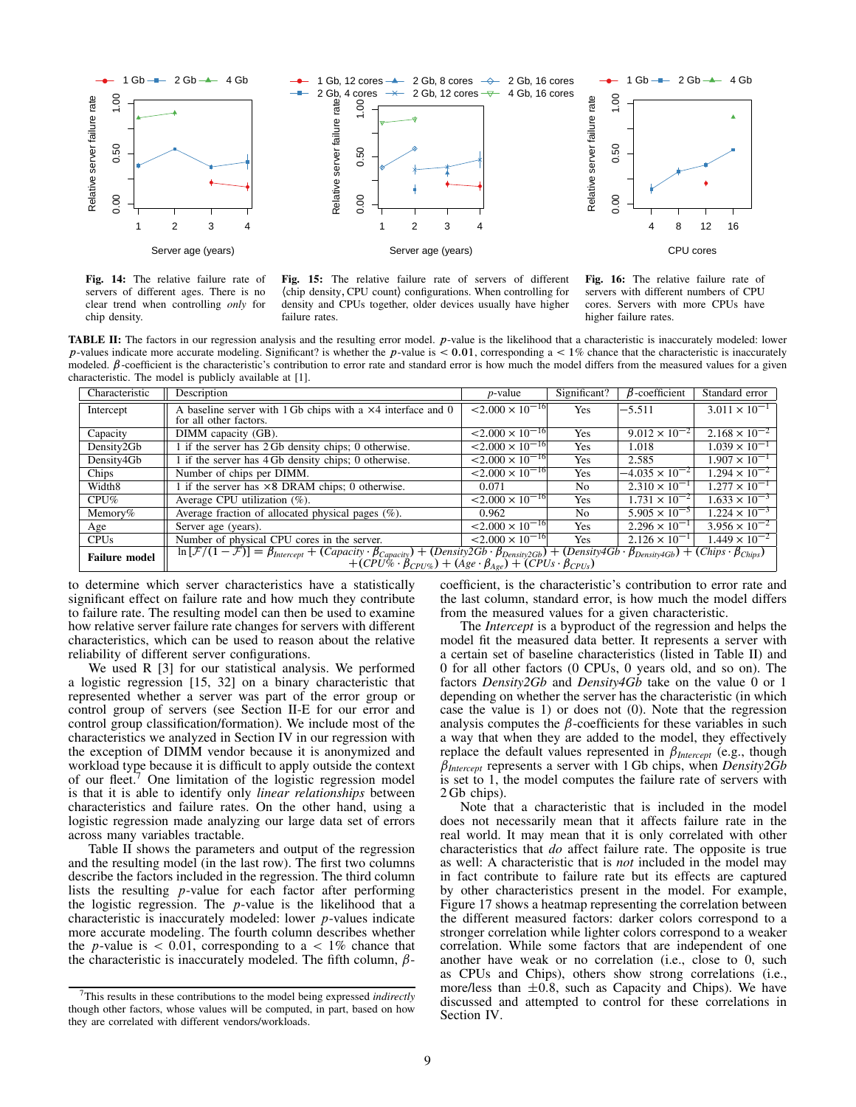

Fig. 14: The relative failure rate of servers of different ages. There is no clear trend when controlling *only* for chip density.

Fig. 15: The relative failure rate of servers of different (chip density, CPU count) configurations. When controlling for density and CPUs together, older devices usually have higher failure rates.

Fig. 16: The relative failure rate of servers with different numbers of CPU cores. Servers with more CPUs have higher failure rates.

TABLE II: The factors in our regression analysis and the resulting error model.  $p$ -value is the likelihood that a characteristic is inaccurately modeled: lower p-values indicate more accurate modeling. Significant? is whether the p-value is  $< 0.01$ , corresponding a  $< 1\%$  chance that the characteristic is inaccurately modeled.  $\beta$ -coefficient is the characteristic's contribution to error rate and standard error is how much the model differs from the measured values for a given characteristic. The model is publicly available at [1].

| Characteristic       | Description                                                                                                                                                                                                                                                                                | $p$ -value                              | Significant?   | $\beta$ -coefficient    | Standard error                    |
|----------------------|--------------------------------------------------------------------------------------------------------------------------------------------------------------------------------------------------------------------------------------------------------------------------------------------|-----------------------------------------|----------------|-------------------------|-----------------------------------|
| Intercept            | A baseline server with $\overline{1 \text{ Gb}}$ chips with a $\times$ 4 interface and 0<br>for all other factors.                                                                                                                                                                         | $< 2.000 \times 10^{-16}$               | Yes            | $-5.511$                | $3.011 \times 10^{-1}$            |
| Capacity             | DIMM capacity (GB).                                                                                                                                                                                                                                                                        | $< 2.000 \times 10^{-16}$               | Yes            | $9.012 \times 10^{-2}$  | $2.\overline{168 \times 10^{-2}}$ |
| Density2Gb           | 1 if the server has 2 Gb density chips; 0 otherwise.                                                                                                                                                                                                                                       | $< 2.000 \times 10^{-16}$               | Yes            | 1.018                   | $1.039 \times 10^{-1}$            |
| Density4Gb           | 1 if the server has 4 Gb density chips; 0 otherwise.                                                                                                                                                                                                                                       | $< 2.000 \times 10^{-16}$               | <b>Yes</b>     | 2.585                   | $1.907 \times 10^{-1}$            |
| Chips                | Number of chips per DIMM.                                                                                                                                                                                                                                                                  | $< 2.000 \times 10^{-16}$               | Yes            | $-4.035 \times 10^{-2}$ | $1.294 \times 10^{-2}$            |
| Width <sub>8</sub>   | 1 if the server has $\times 8$ DRAM chips; 0 otherwise.                                                                                                                                                                                                                                    | 0.071                                   | N <sub>o</sub> | $2.310 \times 10^{-1}$  | $1.277 \times 10^{-1}$            |
| $CPU\%$              | Average CPU utilization $(\%)$ .                                                                                                                                                                                                                                                           | $< 2.000 \times 10^{-16}$               | Yes            | $1.731 \times 10^{-2}$  | $1.\overline{633 \times 10^{-3}}$ |
| Memory $%$           | Average fraction of allocated physical pages $(\%)$ .                                                                                                                                                                                                                                      | 0.962                                   | N <sub>o</sub> | $5.905 \times 10^{-5}$  | $1.\overline{224 \times 10^{-3}}$ |
| Age                  | Server age (years).                                                                                                                                                                                                                                                                        | $\leq$ 2.000 $\times$ 10 <sup>-16</sup> | Yes            | $2.296 \times 10^{-1}$  | $3.956 \times 10^{-2}$            |
| <b>CPUs</b>          | Number of physical CPU cores in the server.                                                                                                                                                                                                                                                | $\leq 2.000 \times 10^{-16}$            | <b>Yes</b>     | $2.126 \times 10^{-1}$  | $1.449 \times 10^{-2}$            |
| <b>Failure model</b> | $\ln[\mathcal{F}/(1-\mathcal{F})] = \beta_{Intercept} + (Capacity \cdot \beta_{Capacity}) + (Density2Gb \cdot \beta_{Density2Gb}) + (Density4Gb \cdot \beta_{Density4Gb}) + (Chips \cdot \beta_{Chips})$<br>+(CPU% · $\beta_{CPU\%}$ ) + (Age · $\beta_{Age}$ ) + (CPUs · $\beta_{CPUs}$ ) |                                         |                |                         |                                   |

to determine which server characteristics have a statistically significant effect on failure rate and how much they contribute to failure rate. The resulting model can then be used to examine how relative server failure rate changes for servers with different characteristics, which can be used to reason about the relative reliability of different server configurations.

We used R [3] for our statistical analysis. We performed a logistic regression [15, 32] on a binary characteristic that represented whether a server was part of the error group or control group of servers (see Section II-E for our error and control group classification/formation). We include most of the characteristics we analyzed in Section IV in our regression with the exception of DIMM vendor because it is anonymized and workload type because it is difficult to apply outside the context of our fleet.<sup>7</sup> One limitation of the logistic regression model is that it is able to identify only *linear relationships* between characteristics and failure rates. On the other hand, using a logistic regression made analyzing our large data set of errors across many variables tractable.

Table II shows the parameters and output of the regression and the resulting model (in the last row). The first two columns describe the factors included in the regression. The third column lists the resulting p-value for each factor after performing the logistic regression. The  $p$ -value is the likelihood that a characteristic is inaccurately modeled: lower p-values indicate more accurate modeling. The fourth column describes whether the *p*-value is  $\lt$  0.01, corresponding to a  $\lt$  1% chance that the characteristic is inaccurately modeled. The fifth column,  $\beta$ - coefficient, is the characteristic's contribution to error rate and the last column, standard error, is how much the model differs from the measured values for a given characteristic.

The *Intercept* is a byproduct of the regression and helps the model fit the measured data better. It represents a server with a certain set of baseline characteristics (listed in Table II) and 0 for all other factors (0 CPUs, 0 years old, and so on). The factors *Density2Gb* and *Density4Gb* take on the value 0 or 1 depending on whether the server has the characteristic (in which case the value is 1) or does not (0). Note that the regression analysis computes the  $\beta$ -coefficients for these variables in such a way that when they are added to the model, they effectively replace the default values represented in  $\beta_{Intercept}$  (e.g., though  $\beta_{Intercept}$  represents a server with 1 Gb chips, when *Density2Gb* is set to 1, the model computes the failure rate of servers with 2 Gb chips).

Note that a characteristic that is included in the model does not necessarily mean that it affects failure rate in the real world. It may mean that it is only correlated with other characteristics that *do* affect failure rate. The opposite is true as well: A characteristic that is *not* included in the model may in fact contribute to failure rate but its effects are captured by other characteristics present in the model. For example, Figure 17 shows a heatmap representing the correlation between the different measured factors: darker colors correspond to a stronger correlation while lighter colors correspond to a weaker correlation. While some factors that are independent of one another have weak or no correlation (i.e., close to 0, such as CPUs and Chips), others show strong correlations (i.e., more/less than  $\pm 0.8$ , such as Capacity and Chips). We have discussed and attempted to control for these correlations in Section IV.

<sup>7</sup>This results in these contributions to the model being expressed *indirectly* though other factors, whose values will be computed, in part, based on how they are correlated with different vendors/workloads.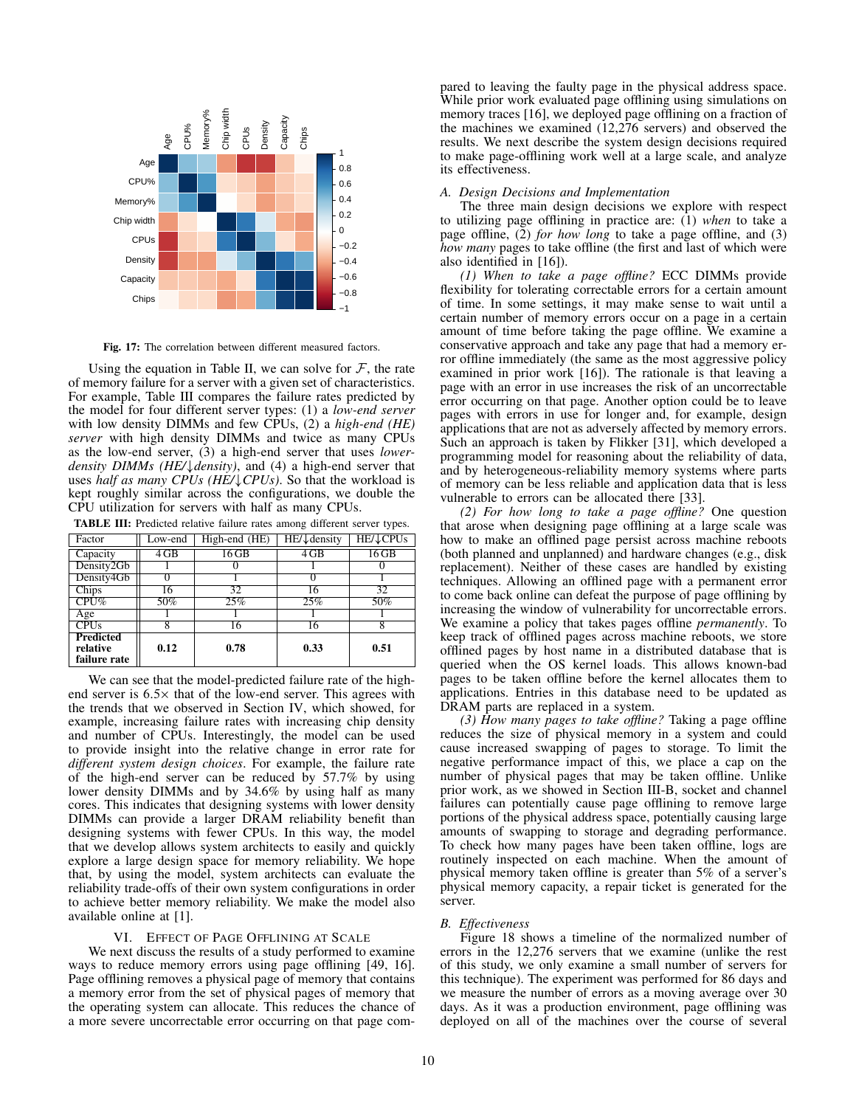

Fig. 17: The correlation between different measured factors.

Using the equation in Table II, we can solve for  $\mathcal{F}$ , the rate of memory failure for a server with a given set of characteristics. For example, Table III compares the failure rates predicted by the model for four different server types: (1) a *low-end server* with low density DIMMs and few CPUs, (2) a *high-end (HE) server* with high density DIMMs and twice as many CPUs as the low-end server, (3) a high-end server that uses *lowerdensity DIMMs (HE/* $\downarrow$  *density)*, and (4) a high-end server that uses *half as many CPUs (HE/* $\downarrow$ *CPUs)*. So that the workload is kept roughly similar across the configurations, we double the CPU utilization for servers with half as many CPUs.

| TABLE III: Predicted relative failure rates among different server types. |  |  |  |
|---------------------------------------------------------------------------|--|--|--|
|---------------------------------------------------------------------------|--|--|--|

| Factor                                       | Low-end | High-end (HE) | HE/↓ density | HE/ <sup>1</sup> CPU <sub>s</sub> |
|----------------------------------------------|---------|---------------|--------------|-----------------------------------|
| Capacity                                     | $4$ GB  | 16 GB         | 4GB          | $16$ GB                           |
| Density2Gb                                   |         |               |              |                                   |
| Density4Gb                                   |         |               |              |                                   |
| Chips                                        | 16      | 32            | 16           | 32                                |
| $CPU\%$                                      | 50%     | 25%           | 25%          | 50%                               |
| Age                                          |         |               |              |                                   |
| CPUs                                         | 8       | 16            | 16           | 8                                 |
| <b>Predicted</b><br>relative<br>failure rate | 0.12    | 0.78          | 0.33         | 0.51                              |

We can see that the model-predicted failure rate of the highend server is  $6.5 \times$  that of the low-end server. This agrees with the trends that we observed in Section IV, which showed, for example, increasing failure rates with increasing chip density and number of CPUs. Interestingly, the model can be used to provide insight into the relative change in error rate for *different system design choices*. For example, the failure rate of the high-end server can be reduced by 57.7% by using lower density DIMMs and by 34.6% by using half as many cores. This indicates that designing systems with lower density DIMMs can provide a larger DRAM reliability benefit than designing systems with fewer CPUs. In this way, the model that we develop allows system architects to easily and quickly explore a large design space for memory reliability. We hope that, by using the model, system architects can evaluate the reliability trade-offs of their own system configurations in order to achieve better memory reliability. We make the model also available online at [1].

## VI. EFFECT OF PAGE OFFLINING AT SCALE

We next discuss the results of a study performed to examine ways to reduce memory errors using page offlining [49, 16]. Page offlining removes a physical page of memory that contains a memory error from the set of physical pages of memory that the operating system can allocate. This reduces the chance of a more severe uncorrectable error occurring on that page compared to leaving the faulty page in the physical address space. While prior work evaluated page offlining using simulations on memory traces [16], we deployed page offlining on a fraction of the machines we examined (12,276 servers) and observed the results. We next describe the system design decisions required to make page-offlining work well at a large scale, and analyze its effectiveness.

## *A. Design Decisions and Implementation*

The three main design decisions we explore with respect to utilizing page offlining in practice are: (1) *when* to take a page offline, (2) *for how long* to take a page offline, and (3) *how many* pages to take offline (the first and last of which were also identified in [16]).

*(1) When to take a page offline?* ECC DIMMs provide flexibility for tolerating correctable errors for a certain amount of time. In some settings, it may make sense to wait until a certain number of memory errors occur on a page in a certain amount of time before taking the page offline. We examine a conservative approach and take any page that had a memory error offline immediately (the same as the most aggressive policy examined in prior work [16]). The rationale is that leaving a page with an error in use increases the risk of an uncorrectable error occurring on that page. Another option could be to leave pages with errors in use for longer and, for example, design applications that are not as adversely affected by memory errors. Such an approach is taken by Flikker [31], which developed a programming model for reasoning about the reliability of data, and by heterogeneous-reliability memory systems where parts of memory can be less reliable and application data that is less vulnerable to errors can be allocated there [33].

*(2) For how long to take a page offline?* One question that arose when designing page offlining at a large scale was how to make an offlined page persist across machine reboots (both planned and unplanned) and hardware changes (e.g., disk replacement). Neither of these cases are handled by existing techniques. Allowing an offlined page with a permanent error to come back online can defeat the purpose of page offlining by increasing the window of vulnerability for uncorrectable errors. We examine a policy that takes pages offline *permanently*. To keep track of offlined pages across machine reboots, we store offlined pages by host name in a distributed database that is queried when the OS kernel loads. This allows known-bad pages to be taken offline before the kernel allocates them to applications. Entries in this database need to be updated as DRAM parts are replaced in a system.

*(3) How many pages to take offline?* Taking a page offline reduces the size of physical memory in a system and could cause increased swapping of pages to storage. To limit the negative performance impact of this, we place a cap on the number of physical pages that may be taken offline. Unlike prior work, as we showed in Section III-B, socket and channel failures can potentially cause page offlining to remove large portions of the physical address space, potentially causing large amounts of swapping to storage and degrading performance. To check how many pages have been taken offline, logs are routinely inspected on each machine. When the amount of physical memory taken offline is greater than 5% of a server's physical memory capacity, a repair ticket is generated for the server.

## *B. Effectiveness*

Figure 18 shows a timeline of the normalized number of errors in the 12,276 servers that we examine (unlike the rest of this study, we only examine a small number of servers for this technique). The experiment was performed for 86 days and we measure the number of errors as a moving average over 30 days. As it was a production environment, page offlining was deployed on all of the machines over the course of several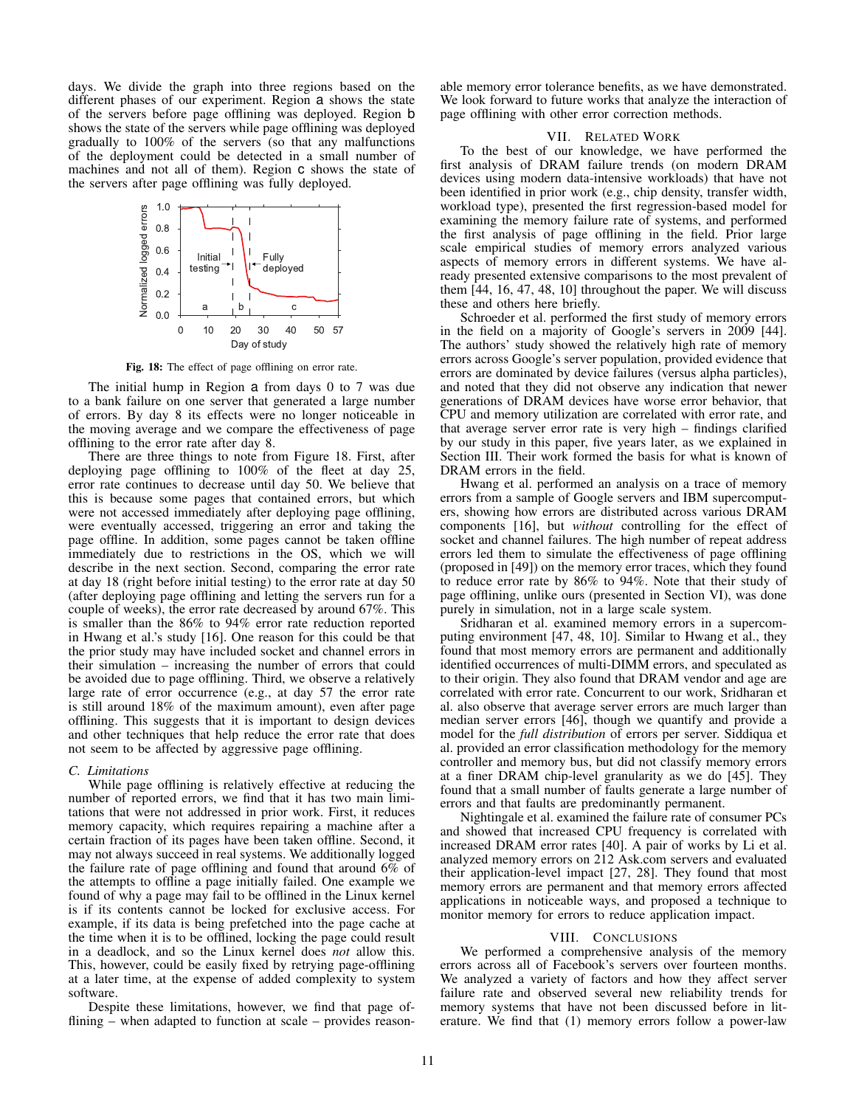days. We divide the graph into three regions based on the different phases of our experiment. Region a shows the state of the servers before page offlining was deployed. Region b shows the state of the servers while page offlining was deployed gradually to 100% of the servers (so that any malfunctions of the deployment could be detected in a small number of machines and not all of them). Region c shows the state of the servers after page offlining was fully deployed.



Fig. 18: The effect of page offlining on error rate.

The initial hump in Region a from days 0 to 7 was due to a bank failure on one server that generated a large number of errors. By day 8 its effects were no longer noticeable in the moving average and we compare the effectiveness of page offlining to the error rate after day 8.

There are three things to note from Figure 18. First, after deploying page offlining to 100% of the fleet at day 25, error rate continues to decrease until day 50. We believe that this is because some pages that contained errors, but which were not accessed immediately after deploying page offlining, were eventually accessed, triggering an error and taking the page offline. In addition, some pages cannot be taken offline immediately due to restrictions in the OS, which we will describe in the next section. Second, comparing the error rate at day 18 (right before initial testing) to the error rate at day 50 (after deploying page offlining and letting the servers run for a couple of weeks), the error rate decreased by around 67%. This is smaller than the 86% to 94% error rate reduction reported in Hwang et al.'s study [16]. One reason for this could be that the prior study may have included socket and channel errors in their simulation – increasing the number of errors that could be avoided due to page offlining. Third, we observe a relatively large rate of error occurrence (e.g., at day 57 the error rate is still around 18% of the maximum amount), even after page offlining. This suggests that it is important to design devices and other techniques that help reduce the error rate that does not seem to be affected by aggressive page offlining.

#### *C. Limitations*

While page offlining is relatively effective at reducing the number of reported errors, we find that it has two main limitations that were not addressed in prior work. First, it reduces memory capacity, which requires repairing a machine after a certain fraction of its pages have been taken offline. Second, it may not always succeed in real systems. We additionally logged the failure rate of page offlining and found that around  $6\%$  of the attempts to offline a page initially failed. One example we found of why a page may fail to be offlined in the Linux kernel is if its contents cannot be locked for exclusive access. For example, if its data is being prefetched into the page cache at the time when it is to be offlined, locking the page could result in a deadlock, and so the Linux kernel does *not* allow this. This, however, could be easily fixed by retrying page-offlining at a later time, at the expense of added complexity to system software.

Despite these limitations, however, we find that page offlining – when adapted to function at scale – provides reasonable memory error tolerance benefits, as we have demonstrated. We look forward to future works that analyze the interaction of page offlining with other error correction methods.

## VII. RELATED WORK

To the best of our knowledge, we have performed the first analysis of DRAM failure trends (on modern DRAM devices using modern data-intensive workloads) that have not been identified in prior work (e.g., chip density, transfer width, workload type), presented the first regression-based model for examining the memory failure rate of systems, and performed the first analysis of page offlining in the field. Prior large scale empirical studies of memory errors analyzed various aspects of memory errors in different systems. We have already presented extensive comparisons to the most prevalent of them [44, 16, 47, 48, 10] throughout the paper. We will discuss these and others here briefly.

Schroeder et al. performed the first study of memory errors in the field on a majority of Google's servers in 2009 [44]. The authors' study showed the relatively high rate of memory errors across Google's server population, provided evidence that errors are dominated by device failures (versus alpha particles), and noted that they did not observe any indication that newer generations of DRAM devices have worse error behavior, that CPU and memory utilization are correlated with error rate, and that average server error rate is very high – findings clarified by our study in this paper, five years later, as we explained in Section III. Their work formed the basis for what is known of DRAM errors in the field.

Hwang et al. performed an analysis on a trace of memory errors from a sample of Google servers and IBM supercomputers, showing how errors are distributed across various DRAM components [16], but *without* controlling for the effect of socket and channel failures. The high number of repeat address errors led them to simulate the effectiveness of page offlining (proposed in [49]) on the memory error traces, which they found to reduce error rate by 86% to 94%. Note that their study of page offlining, unlike ours (presented in Section VI), was done purely in simulation, not in a large scale system.

Sridharan et al. examined memory errors in a supercomputing environment [47, 48, 10]. Similar to Hwang et al., they found that most memory errors are permanent and additionally identified occurrences of multi-DIMM errors, and speculated as to their origin. They also found that DRAM vendor and age are correlated with error rate. Concurrent to our work, Sridharan et al. also observe that average server errors are much larger than median server errors [46], though we quantify and provide a model for the *full distribution* of errors per server. Siddiqua et al. provided an error classification methodology for the memory controller and memory bus, but did not classify memory errors at a finer DRAM chip-level granularity as we do [45]. They found that a small number of faults generate a large number of errors and that faults are predominantly permanent.

Nightingale et al. examined the failure rate of consumer PCs and showed that increased CPU frequency is correlated with increased DRAM error rates [40]. A pair of works by Li et al. analyzed memory errors on 212 Ask.com servers and evaluated their application-level impact [27, 28]. They found that most memory errors are permanent and that memory errors affected applications in noticeable ways, and proposed a technique to monitor memory for errors to reduce application impact.

#### VIII. CONCLUSIONS

We performed a comprehensive analysis of the memory errors across all of Facebook's servers over fourteen months. We analyzed a variety of factors and how they affect server failure rate and observed several new reliability trends for memory systems that have not been discussed before in literature. We find that (1) memory errors follow a power-law